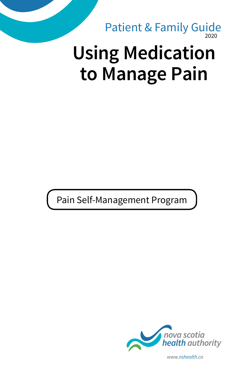2020 **Using Medication to Manage Pain** Patient & Family Guide

Pain Self-Management Program



*www.nshealth.ca*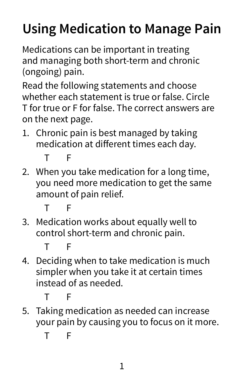# **Using Medication to Manage Pain**

Medications can be important in treating and managing both short-term and chronic (ongoing) pain.

Read the following statements and choose whether each statement is true or false. Circle T for true or F for false. The correct answers are on the next page.

1. Chronic pain is best managed by taking medication at different times each day.

T F

2. When you take medication for a long time, you need more medication to get the same amount of pain relief.

T F

3. Medication works about equally well to control short-term and chronic pain.

T F

4. Deciding when to take medication is much simpler when you take it at certain times instead of as needed.

T F

5. Taking medication as needed can increase your pain by causing you to focus on it more.

T F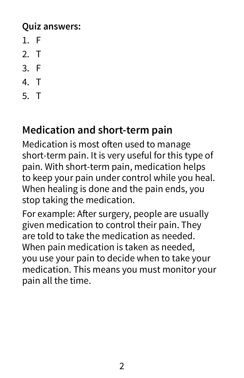#### **Quiz answers:**

- 1. F
- 2. T
- 3. F
- 4. T
- 5. T

# **Medication and short-term pain**

Medication is most often used to manage short-term pain. It is very useful for this type of pain. With short-term pain, medication helps to keep your pain under control while you heal. When healing is done and the pain ends, you stop taking the medication.

For example: After surgery, people are usually given medication to control their pain. They are told to take the medication as needed. When pain medication is taken as needed, you use your pain to decide when to take your medication. This means you must monitor your pain all the time.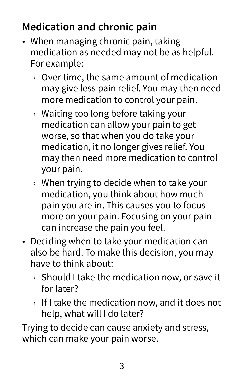# **Medication and chronic pain**

- When managing chronic pain, taking medication as needed may not be as helpful. For example:
	- › Over time, the same amount of medication may give less pain relief. You may then need more medication to control your pain.
	- › Waiting too long before taking your medication can allow your pain to get worse, so that when you do take your medication, it no longer gives relief. You may then need more medication to control your pain.
	- › When trying to decide when to take your medication, you think about how much pain you are in. This causes you to focus more on your pain. Focusing on your pain can increase the pain you feel.
- Deciding when to take your medication can also be hard. To make this decision, you may have to think about:
	- › Should I take the medication now, or save it for later?
	- › If I take the medication now, and it does not help, what will I do later?

Trying to decide can cause anxiety and stress, which can make your pain worse.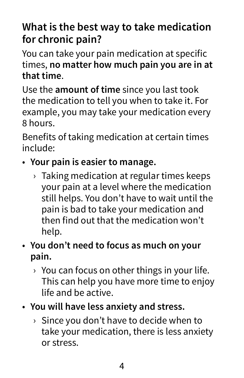# **What is the best way to take medication for chronic pain?**

You can take your pain medication at specific times, **no matter how much pain you are in at that time**.

Use the **amount of time** since you last took the medication to tell you when to take it. For example, you may take your medication every 8 hours.

Benefits of taking medication at certain times include:

- **Your pain is easier to manage.**
	- $\rightarrow$  Taking medication at regular times keeps your pain at a level where the medication still helps. You don't have to wait until the pain is bad to take your medication and then find out that the medication won't help.
- **You don't need to focus as much on your pain.**
	- $\rightarrow$  You can focus on other things in your life. This can help you have more time to enjoy life and be active.
- **You will have less anxiety and stress.**
	- $\rightarrow$  Since you don't have to decide when to take your medication, there is less anxiety or stress.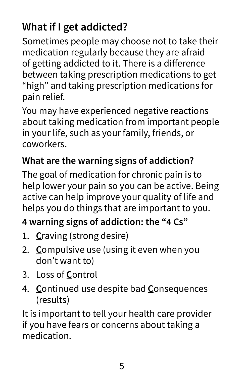# **What if I get addicted?**

Sometimes people may choose not to take their medication regularly because they are afraid of getting addicted to it. There is a difference between taking prescription medications to get "high" and taking prescription medications for pain relief.

You may have experienced negative reactions about taking medication from important people in your life, such as your family, friends, or coworkers.

#### **What are the warning signs of addiction?**

The goal of medication for chronic pain is to help lower your pain so you can be active. Being active can help improve your quality of life and helps you do things that are important to you.

#### **4 warning signs of addiction: the "4 Cs"**

- 1. **C**raving (strong desire)
- 2. **C**ompulsive use (using it even when you don't want to)
- 3. Loss of **C**ontrol
- 4. **C**ontinued use despite bad **C**onsequences (results)

It is important to tell your health care provider if you have fears or concerns about taking a medication.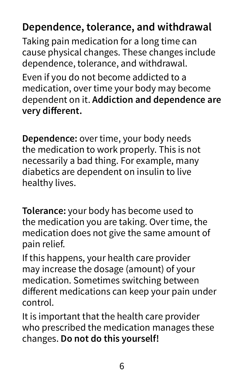# **Dependence, tolerance, and withdrawal**

Taking pain medication for a long time can cause physical changes. These changes include dependence, tolerance, and withdrawal.

Even if you do not become addicted to a medication, over time your body may become dependent on it. **Addiction and dependence are very different.**

**Dependence:** over time, your body needs the medication to work properly. This is not necessarily a bad thing. For example, many diabetics are dependent on insulin to live healthy lives.

**Tolerance:** your body has become used to the medication you are taking. Over time, the medication does not give the same amount of pain relief.

If this happens, your health care provider may increase the dosage (amount) of your medication. Sometimes switching between different medications can keep your pain under control.

It is important that the health care provider who prescribed the medication manages these changes. **Do not do this yourself!**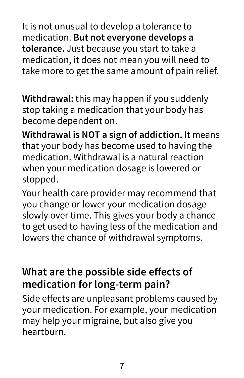It is not unusual to develop a tolerance to medication. **But not everyone develops a tolerance.** Just because you start to take a medication, it does not mean you will need to take more to get the same amount of pain relief.

**Withdrawal:** this may happen if you suddenly stop taking a medication that your body has become dependent on.

**Withdrawal is NOT a sign of addiction.** It means that your body has become used to having the medication. Withdrawal is a natural reaction when your medication dosage is lowered or stopped.

Your health care provider may recommend that you change or lower your medication dosage slowly over time. This gives your body a chance to get used to having less of the medication and lowers the chance of withdrawal symptoms.

## **What are the possible side effects of medication for long-term pain?**

Side effects are unpleasant problems caused by your medication. For example, your medication may help your migraine, but also give you heartburn.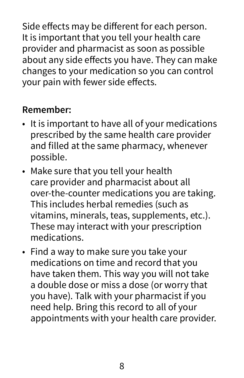Side effects may be different for each person. It is important that you tell your health care provider and pharmacist as soon as possible about any side effects you have. They can make changes to your medication so you can control your pain with fewer side effects.

#### **Remember:**

- It is important to have all of your medications prescribed by the same health care provider and filled at the same pharmacy, whenever possible.
- Make sure that you tell your health care provider and pharmacist about all over-the-counter medications you are taking. This includes herbal remedies (such as vitamins, minerals, teas, supplements, etc.). These may interact with your prescription medications.
- Find a way to make sure you take your medications on time and record that you have taken them. This way you will not take a double dose or miss a dose (or worry that you have). Talk with your pharmacist if you need help. Bring this record to all of your appointments with your health care provider.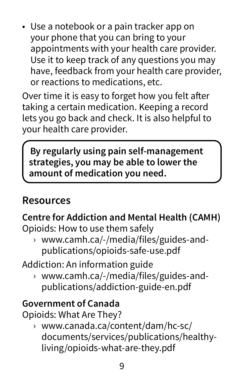• Use a notebook or a pain tracker app on your phone that you can bring to your appointments with your health care provider. Use it to keep track of any questions you may have, feedback from your health care provider, or reactions to medications, etc.

Over time it is easy to forget how you felt after taking a certain medication. Keeping a record lets you go back and check. It is also helpful to your health care provider.

**By regularly using pain self-management strategies, you may be able to lower the amount of medication you need.**

#### **Resources**

**Centre for Addiction and Mental Health (CAMH)** Opioids: How to use them safely

› www.camh.ca/-/media/files/guides-andpublications/opioids-safe-use.pdf

Addiction: An information guide

› www.camh.ca/-/media/files/guides-andpublications/addiction-guide-en.pdf

#### **Government of Canada**

Opioids: What Are They?

› www.canada.ca/content/dam/hc-sc/ documents/services/publications/healthyliving/opioids-what-are-they.pdf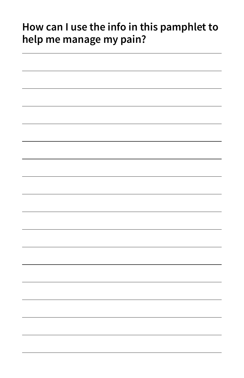## **How can I use the info in this pamphlet to help me manage my pain?**